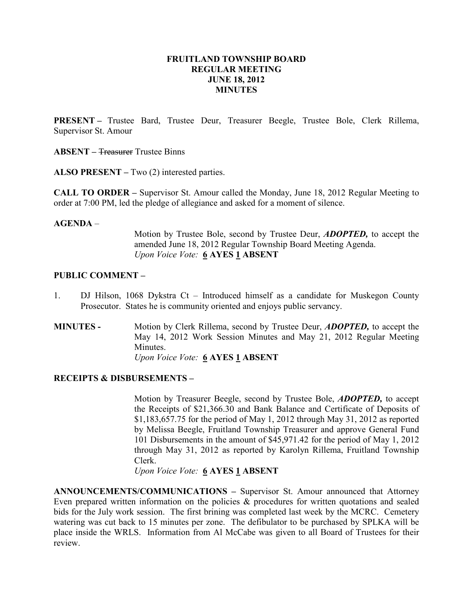## FRUITLAND TOWNSHIP BOARD REGULAR MEETING JUNE 18, 2012 **MINUTES**

PRESENT – Trustee Bard, Trustee Deur, Treasurer Beegle, Trustee Bole, Clerk Rillema, Supervisor St. Amour

ABSENT – Treasurer Trustee Binns

ALSO PRESENT – Two (2) interested parties.

CALL TO ORDER – Supervisor St. Amour called the Monday, June 18, 2012 Regular Meeting to order at 7:00 PM, led the pledge of allegiance and asked for a moment of silence.

#### AGENDA –

Motion by Trustee Bole, second by Trustee Deur, ADOPTED, to accept the amended June 18, 2012 Regular Township Board Meeting Agenda. Upon Voice Vote: 6 AYES 1 ABSENT

## PUBLIC COMMENT –

- 1. DJ Hilson, 1068 Dykstra Ct Introduced himself as a candidate for Muskegon County Prosecutor. States he is community oriented and enjoys public servancy.
- MINUTES Motion by Clerk Rillema, second by Trustee Deur, ADOPTED, to accept the May 14, 2012 Work Session Minutes and May 21, 2012 Regular Meeting Minutes. Upon Voice Vote: 6 AYES 1 ABSENT

## RECEIPTS & DISBURSEMENTS –

Motion by Treasurer Beegle, second by Trustee Bole, ADOPTED, to accept the Receipts of \$21,366.30 and Bank Balance and Certificate of Deposits of \$1,183,657.75 for the period of May 1, 2012 through May 31, 2012 as reported by Melissa Beegle, Fruitland Township Treasurer and approve General Fund 101 Disbursements in the amount of \$45,971.42 for the period of May 1, 2012 through May 31, 2012 as reported by Karolyn Rillema, Fruitland Township Clerk.

Upon Voice Vote: 6 AYES 1 ABSENT

ANNOUNCEMENTS/COMMUNICATIONS – Supervisor St. Amour announced that Attorney Even prepared written information on the policies & procedures for written quotations and sealed bids for the July work session. The first brining was completed last week by the MCRC. Cemetery watering was cut back to 15 minutes per zone. The defibulator to be purchased by SPLKA will be place inside the WRLS. Information from Al McCabe was given to all Board of Trustees for their review.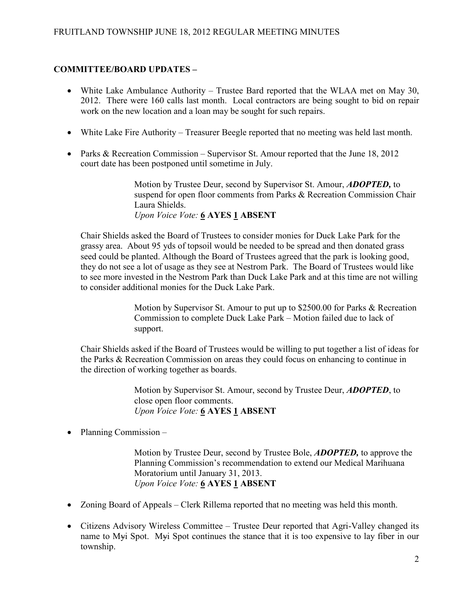# COMMITTEE/BOARD UPDATES –

- White Lake Ambulance Authority Trustee Bard reported that the WLAA met on May 30, 2012. There were 160 calls last month. Local contractors are being sought to bid on repair work on the new location and a loan may be sought for such repairs.
- White Lake Fire Authority Treasurer Beegle reported that no meeting was held last month.
- Parks & Recreation Commission Supervisor St. Amour reported that the June 18, 2012 court date has been postponed until sometime in July.

Motion by Trustee Deur, second by Supervisor St. Amour, **ADOPTED**, to suspend for open floor comments from Parks & Recreation Commission Chair Laura Shields. Upon Voice Vote: 6 AYES 1 ABSENT

Chair Shields asked the Board of Trustees to consider monies for Duck Lake Park for the grassy area. About 95 yds of topsoil would be needed to be spread and then donated grass seed could be planted. Although the Board of Trustees agreed that the park is looking good, they do not see a lot of usage as they see at Nestrom Park. The Board of Trustees would like to see more invested in the Nestrom Park than Duck Lake Park and at this time are not willing to consider additional monies for the Duck Lake Park.

> Motion by Supervisor St. Amour to put up to \$2500.00 for Parks & Recreation Commission to complete Duck Lake Park – Motion failed due to lack of support.

Chair Shields asked if the Board of Trustees would be willing to put together a list of ideas for the Parks & Recreation Commission on areas they could focus on enhancing to continue in the direction of working together as boards.

> Motion by Supervisor St. Amour, second by Trustee Deur, **ADOPTED**, to close open floor comments. Upon Voice Vote: 6 AYES 1 ABSENT

• Planning Commission –

Motion by Trustee Deur, second by Trustee Bole, ADOPTED, to approve the Planning Commission's recommendation to extend our Medical Marihuana Moratorium until January 31, 2013. Upon Voice Vote: 6 AYES 1 ABSENT

- Zoning Board of Appeals Clerk Rillema reported that no meeting was held this month.
- Citizens Advisory Wireless Committee Trustee Deur reported that Agri-Valley changed its name to Myi Spot. Myi Spot continues the stance that it is too expensive to lay fiber in our township.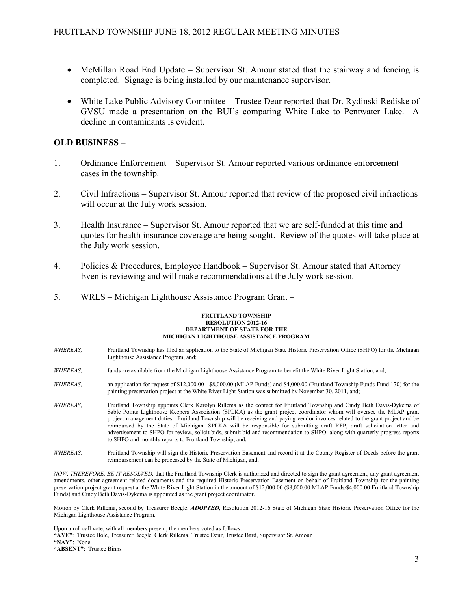- McMillan Road End Update Supervisor St. Amour stated that the stairway and fencing is completed. Signage is being installed by our maintenance supervisor.
- White Lake Public Advisory Committee Trustee Deur reported that Dr. Rydinski Rediske of GVSU made a presentation on the BUI's comparing White Lake to Pentwater Lake. A decline in contaminants is evident.

## OLD BUSINESS –

- 1. Ordinance Enforcement Supervisor St. Amour reported various ordinance enforcement cases in the township.
- 2. Civil Infractions Supervisor St. Amour reported that review of the proposed civil infractions will occur at the July work session.
- 3. Health Insurance Supervisor St. Amour reported that we are self-funded at this time and quotes for health insurance coverage are being sought. Review of the quotes will take place at the July work session.
- 4. Policies & Procedures, Employee Handbook Supervisor St. Amour stated that Attorney Even is reviewing and will make recommendations at the July work session.
- 5. WRLS Michigan Lighthouse Assistance Program Grant –

#### FRUITLAND TOWNSHIP RESOLUTION 2012-16 DEPARTMENT OF STATE FOR THE MICHIGAN LIGHTHOUSE ASSISTANCE PROGRAM

- WHEREAS, Fruitland Township has filed an application to the State of Michigan State Historic Preservation Office (SHPO) for the Michigan Lighthouse Assistance Program, and;
- WHEREAS, funds are available from the Michigan Lighthouse Assistance Program to benefit the White River Light Station, and;
- WHEREAS, an application for request of \$12,000.00 \$8,000.00 (MLAP Funds) and \$4,000.00 (Fruitland Township Funds-Fund 170) for the painting preservation project at the White River Light Station was submitted by November 30, 2011, and;
- WHEREAS, Fruitland Township appoints Clerk Karolyn Rillema as the contact for Fruitland Township and Cindy Beth Davis-Dykema of Sable Points Lighthouse Keepers Association (SPLKA) as the grant project coordinator whom will oversee the MLAP grant project management duties. Fruitland Township will be receiving and paying vendor invoices related to the grant project and be reimbursed by the State of Michigan. SPLKA will be responsible for submitting draft RFP, draft solicitation letter and advertisement to SHPO for review, solicit bids, submit bid and recommendation to SHPO, along with quarterly progress reports to SHPO and monthly reports to Fruitland Township, and;
- WHEREAS, Fruitland Township will sign the Historic Preservation Easement and record it at the County Register of Deeds before the grant reimbursement can be processed by the State of Michigan, and;

NOW, THEREFORE, BE IT RESOLVED, that the Fruitland Township Clerk is authorized and directed to sign the grant agreement, any grant agreement amendments, other agreement related documents and the required Historic Preservation Easement on behalf of Fruitland Township for the painting preservation project grant request at the White River Light Station in the amount of \$12,000.00 (\$8,000.00 MLAP Funds/\$4,000.00 Fruitland Township Funds) and Cindy Beth Davis-Dykema is appointed as the grant project coordinator.

Motion by Clerk Rillema, second by Treasurer Beegle, ADOPTED, Resolution 2012-16 State of Michigan State Historic Preservation Office for the Michigan Lighthouse Assistance Program.

Upon a roll call vote, with all members present, the members voted as follows:

"AYE": Trustee Bole, Treasurer Beegle, Clerk Rillema, Trustee Deur, Trustee Bard, Supervisor St. Amour

"NAY": None

"ABSENT": Trustee Binns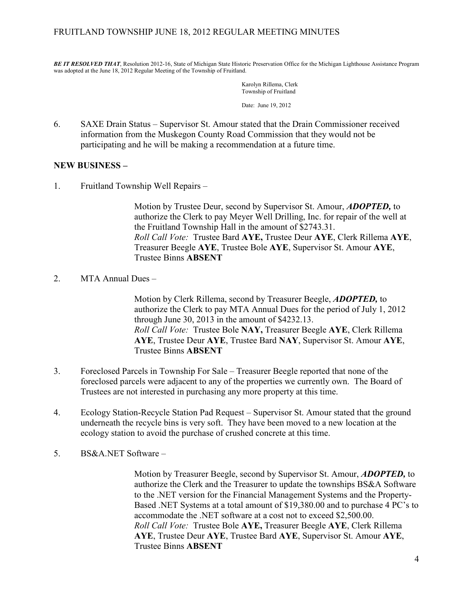BE IT RESOLVED THAT, Resolution 2012-16, State of Michigan State Historic Preservation Office for the Michigan Lighthouse Assistance Program was adopted at the June 18, 2012 Regular Meeting of the Township of Fruitland.

> Karolyn Rillema, Clerk Township of Fruitland Date: June 19, 2012

6. SAXE Drain Status – Supervisor St. Amour stated that the Drain Commissioner received information from the Muskegon County Road Commission that they would not be participating and he will be making a recommendation at a future time.

# NEW BUSINESS –

1. Fruitland Township Well Repairs –

Motion by Trustee Deur, second by Supervisor St. Amour, **ADOPTED**, to authorize the Clerk to pay Meyer Well Drilling, Inc. for repair of the well at the Fruitland Township Hall in the amount of \$2743.31. Roll Call Vote: Trustee Bard AYE, Trustee Deur AYE, Clerk Rillema AYE, Treasurer Beegle AYE, Trustee Bole AYE, Supervisor St. Amour AYE, Trustee Binns ABSENT

2. MTA Annual Dues –

Motion by Clerk Rillema, second by Treasurer Beegle, ADOPTED, to authorize the Clerk to pay MTA Annual Dues for the period of July 1, 2012 through June 30, 2013 in the amount of \$4232.13. Roll Call Vote: Trustee Bole NAY, Treasurer Beegle AYE, Clerk Rillema AYE, Trustee Deur AYE, Trustee Bard NAY, Supervisor St. Amour AYE, Trustee Binns ABSENT

- 3. Foreclosed Parcels in Township For Sale Treasurer Beegle reported that none of the foreclosed parcels were adjacent to any of the properties we currently own. The Board of Trustees are not interested in purchasing any more property at this time.
- 4. Ecology Station-Recycle Station Pad Request Supervisor St. Amour stated that the ground underneath the recycle bins is very soft. They have been moved to a new location at the ecology station to avoid the purchase of crushed concrete at this time.
- 5. BS&A.NET Software –

Motion by Treasurer Beegle, second by Supervisor St. Amour, ADOPTED, to authorize the Clerk and the Treasurer to update the townships BS&A Software to the .NET version for the Financial Management Systems and the Property-Based .NET Systems at a total amount of \$19,380.00 and to purchase 4 PC's to accommodate the .NET software at a cost not to exceed \$2,500.00. Roll Call Vote: Trustee Bole AYE, Treasurer Beegle AYE, Clerk Rillema AYE, Trustee Deur AYE, Trustee Bard AYE, Supervisor St. Amour AYE, Trustee Binns ABSENT